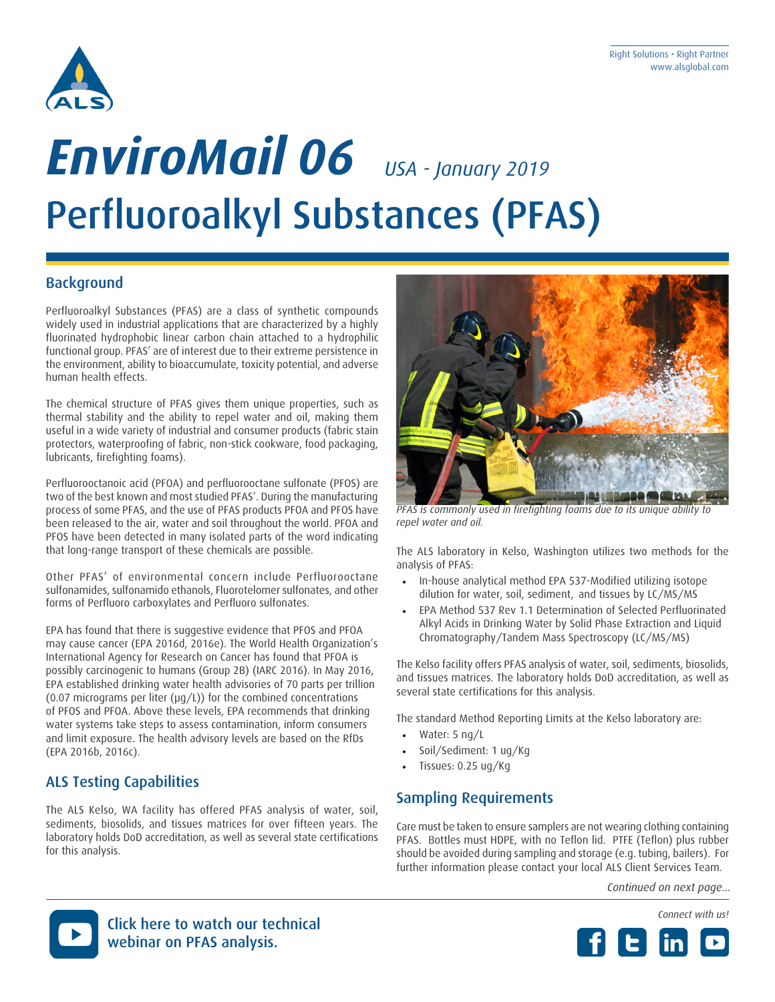

# Perfluoroalkyl Substances (PFAS) *EnviroMail 06 USA - January 2019*

### **Background**

Perfluoroalkyl Substances (PFAS) are a class of synthetic compounds widely used in industrial applications that are characterized by a highly fluorinated hydrophobic linear carbon chain attached to a hydrophilic functional group. PFAS' are of interest due to their extreme persistence in the environment, ability to bioaccumulate, toxicity potential, and adverse human health effects.

The chemical structure of PFAS gives them unique properties, such as thermal stability and the ability to repel water and oil, making them useful in a wide variety of industrial and consumer products (fabric stain protectors, waterproofing of fabric, non-stick cookware, food packaging, lubricants, firefighting foams).

Perfluorooctanoic acid (PFOA) and perfluorooctane sulfonate (PFOS) are two of the best known and most studied PFAS'. During the manufacturing process of some PFAS, and the use of PFAS products PFOA and PFOS have been released to the air, water and soil throughout the world. PFOA and PFOS have been detected in many isolated parts of the word indicating that long-range transport of these chemicals are possible.

Other PFAS' of environmental concern include Perfluorooctane sulfonamides, sulfonamido ethanols, Fluorotelomer sulfonates, and other forms of Perfluoro carboxylates and Perfluoro sulfonates.

EPA has found that there is suggestive evidence that PFOS and PFOA may cause cancer (EPA 2016d, 2016e). The World Health Organization's International Agency for Research on Cancer has found that PFOA is possibly carcinogenic to humans (Group 2B) (IARC 2016). In May 2016, EPA established drinking water health advisories of 70 parts per trillion (0.07 micrograms per liter ( $\mu$ g/L)) for the combined concentrations of PFOS and PFOA. Above these levels, EPA recommends that drinking water systems take steps to assess contamination, inform consumers and limit exposure. The health advisory levels are based on the RfDs (EPA 2016b, 2016c).

### ALS Testing Capabilities

The ALS Kelso, WA facility has offered PFAS analysis of water, soil, sediments, biosolids, and tissues matrices for over fifteen years. The laboratory holds DoD accreditation, as well as several state certifications for this analysis.



*PFAS is commonly used in firefighting foams due to its unique ability to repel water and oil.*

The ALS laboratory in Kelso, Washington utilizes two methods for the analysis of PFAS:

- In-house analytical method EPA 537-Modified utilizing isotope dilution for water, soil, sediment, and tissues by LC/MS/MS
- EPA Method 537 Rev 1.1 Determination of Selected Perfluorinated Alkyl Acids in Drinking Water by Solid Phase Extraction and Liquid Chromatography/Tandem Mass Spectroscopy (LC/MS/MS)

The Kelso facility offers PFAS analysis of water, soil, sediments, biosolids, and tissues matrices. The laboratory holds DoD accreditation, as well as several state certifications for this analysis.

The standard Method Reporting Limits at the Kelso laboratory are:

- Water: 5 ng/L
- Soil/Sediment: 1 ug/Kg
- Tissues: 0.25 ug/Kg

### Sampling Requirements

Care must be taken to ensure samplers are not wearing clothing containing PFAS. Bottles must HDPE, with no Teflon lid. PTFE (Teflon) plus rubber should be avoided during sampling and storage (e.g. tubing, bailers). For further information please contact your local ALS Client Services Team.

*Continued on next page...*





Click here to watch our technical webinar on PFAS analysis.